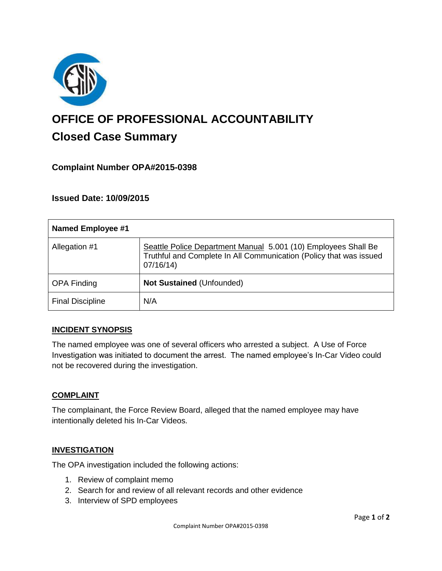

# **OFFICE OF PROFESSIONAL ACCOUNTABILITY Closed Case Summary**

## **Complaint Number OPA#2015-0398**

## **Issued Date: 10/09/2015**

| <b>Named Employee #1</b> |                                                                                                                                                  |
|--------------------------|--------------------------------------------------------------------------------------------------------------------------------------------------|
| Allegation #1            | Seattle Police Department Manual 5.001 (10) Employees Shall Be<br>Truthful and Complete In All Communication (Policy that was issued<br>07/16/14 |
| <b>OPA Finding</b>       | <b>Not Sustained (Unfounded)</b>                                                                                                                 |
| <b>Final Discipline</b>  | N/A                                                                                                                                              |

## **INCIDENT SYNOPSIS**

The named employee was one of several officers who arrested a subject. A Use of Force Investigation was initiated to document the arrest. The named employee's In-Car Video could not be recovered during the investigation.

## **COMPLAINT**

The complainant, the Force Review Board, alleged that the named employee may have intentionally deleted his In-Car Videos.

#### **INVESTIGATION**

The OPA investigation included the following actions:

- 1. Review of complaint memo
- 2. Search for and review of all relevant records and other evidence
- 3. Interview of SPD employees